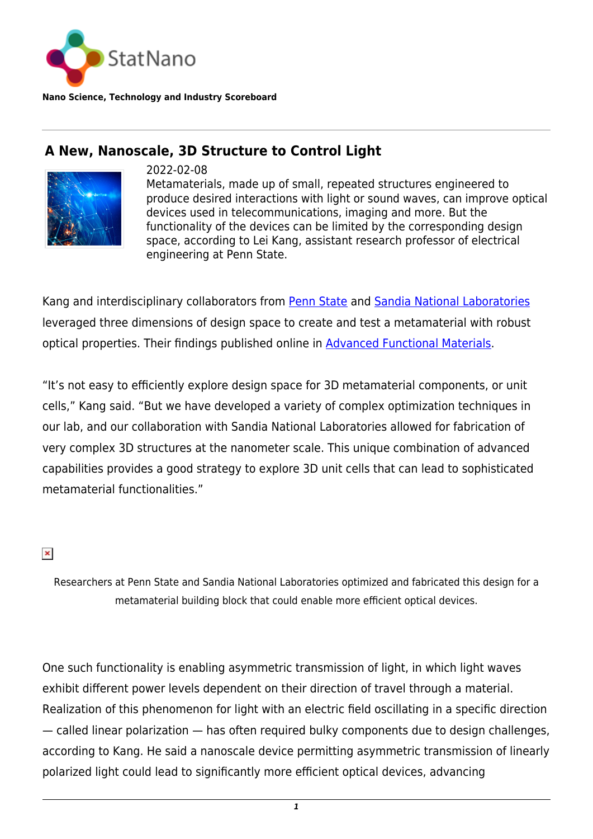

**Nano Science, Technology and Industry Scoreboard**

## **A New, Nanoscale, 3D Structure to Control Light**



2022-02-08

Metamaterials, made up of small, repeated structures engineered to produce desired interactions with light or sound waves, can improve optical devices used in telecommunications, imaging and more. But the functionality of the devices can be limited by the corresponding design space, according to Lei Kang, assistant research professor of electrical engineering at Penn State.

Kang and interdisciplinary collaborators from [Penn State](https://statnano.com/org/Pennsylvania-State-University) and [Sandia National Laboratories](https://www.sandia.gov/) leveraged three dimensions of design space to create and test a metamaterial with robust optical properties. Their findings published online in [Advanced Functional Materials](https://onlinelibrary.wiley.com/doi/10.1002/adfm.202109659).

"It's not easy to efficiently explore design space for 3D metamaterial components, or unit cells," Kang said. "But we have developed a variety of complex optimization techniques in our lab, and our collaboration with Sandia National Laboratories allowed for fabrication of very complex 3D structures at the nanometer scale. This unique combination of advanced capabilities provides a good strategy to explore 3D unit cells that can lead to sophisticated metamaterial functionalities."

## $\pmb{\times}$

Researchers at Penn State and Sandia National Laboratories optimized and fabricated this design for a metamaterial building block that could enable more efficient optical devices.

One such functionality is enabling asymmetric transmission of light, in which light waves exhibit different power levels dependent on their direction of travel through a material. Realization of this phenomenon for light with an electric field oscillating in a specific direction — called linear polarization — has often required bulky components due to design challenges, according to Kang. He said a nanoscale device permitting asymmetric transmission of linearly polarized light could lead to significantly more efficient optical devices, advancing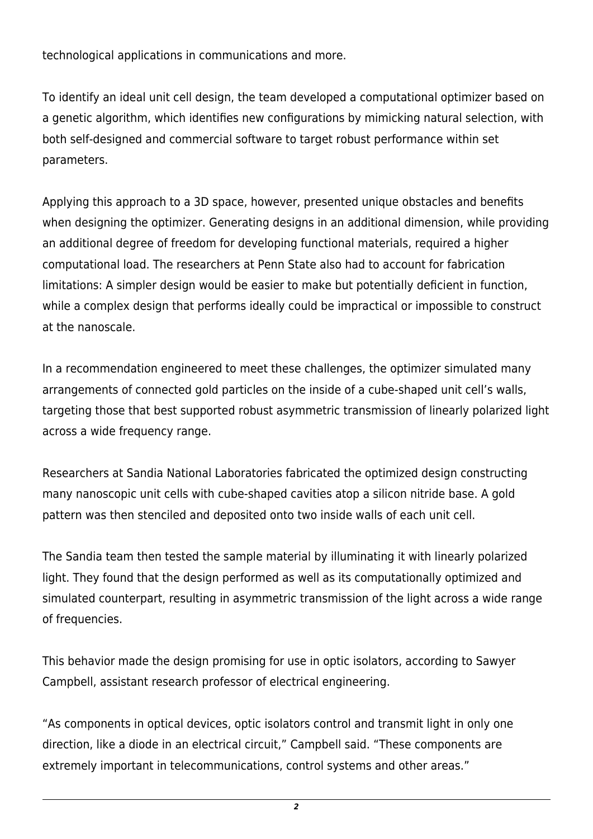technological applications in communications and more.

To identify an ideal unit cell design, the team developed a computational optimizer based on a genetic algorithm, which identifies new configurations by mimicking natural selection, with both self-designed and commercial software to target robust performance within set parameters.

Applying this approach to a 3D space, however, presented unique obstacles and benefits when designing the optimizer. Generating designs in an additional dimension, while providing an additional degree of freedom for developing functional materials, required a higher computational load. The researchers at Penn State also had to account for fabrication limitations: A simpler design would be easier to make but potentially deficient in function, while a complex design that performs ideally could be impractical or impossible to construct at the nanoscale.

In a recommendation engineered to meet these challenges, the optimizer simulated many arrangements of connected gold particles on the inside of a cube-shaped unit cell's walls, targeting those that best supported robust asymmetric transmission of linearly polarized light across a wide frequency range.

Researchers at Sandia National Laboratories fabricated the optimized design constructing many nanoscopic unit cells with cube-shaped cavities atop a silicon nitride base. A gold pattern was then stenciled and deposited onto two inside walls of each unit cell.

The Sandia team then tested the sample material by illuminating it with linearly polarized light. They found that the design performed as well as its computationally optimized and simulated counterpart, resulting in asymmetric transmission of the light across a wide range of frequencies.

This behavior made the design promising for use in optic isolators, according to Sawyer Campbell, assistant research professor of electrical engineering.

"As components in optical devices, optic isolators control and transmit light in only one direction, like a diode in an electrical circuit," Campbell said. "These components are extremely important in telecommunications, control systems and other areas."

*2*